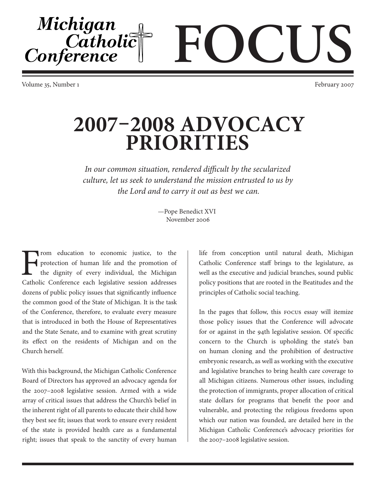Volume 35, Number 1 February 2007

Michigan

Catholic<sup>T</sup><br>Conference

## **2007–2008 ADVOCACY PRIORITIES**

*In our common situation, rendered difficult by the secularized culture, let us seek to understand the mission entrusted to us by the Lord and to carry it out as best we can.*

> —Pope Benedict XVI November 2006

From education to economic justice, to the protection of human life and the promotion of the dignity of every individual, the Michigan Catholic Conference each legislative session addresses protection of human life and the promotion of the dignity of every individual, the Michigan Catholic Conference each legislative session addresses dozens of public policy issues that significantly influence the common good of the State of Michigan. It is the task of the Conference, therefore, to evaluate every measure that is introduced in both the House of Representatives and the State Senate, and to examine with great scrutiny its effect on the residents of Michigan and on the Church herself.

With this background, the Michigan Catholic Conference Board of Directors has approved an advocacy agenda for the 2007–2008 legislative session. Armed with a wide array of critical issues that address the Church's belief in the inherent right of all parents to educate their child how they best see fit; issues that work to ensure every resident of the state is provided health care as a fundamental right; issues that speak to the sanctity of every human

life from conception until natural death, Michigan Catholic Conference staff brings to the legislature, as well as the executive and judicial branches, sound public policy positions that are rooted in the Beatitudes and the principles of Catholic social teaching.

**FOCUS**

In the pages that follow, this FOCUS essay will itemize those policy issues that the Conference will advocate for or against in the 94th legislative session. Of specific concern to the Church is upholding the state's ban on human cloning and the prohibition of destructive embryonic research, as well as working with the executive and legislative branches to bring health care coverage to all Michigan citizens. Numerous other issues, including the protection of immigrants, proper allocation of critical state dollars for programs that benefit the poor and vulnerable, and protecting the religious freedoms upon which our nation was founded, are detailed here in the Michigan Catholic Conference's advocacy priorities for the 2007–2008 legislative session.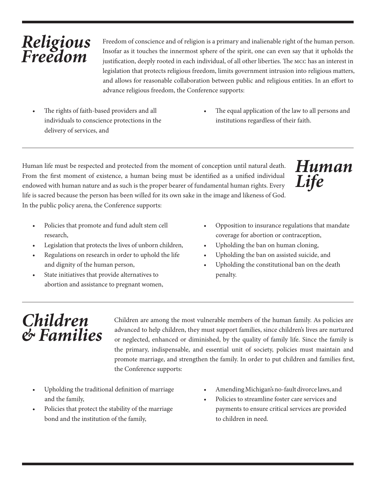## *Religious Freedom*

Freedom of conscience and of religion is a primary and inalienable right of the human person. Insofar as it touches the innermost sphere of the spirit, one can even say that it upholds the justification, deeply rooted in each individual, of all other liberties. The MCC has an interest in legislation that protects religious freedom, limits government intrusion into religious matters, and allows for reasonable collaboration between public and religious entities. In an effort to advance religious freedom, the Conference supports:

- The rights of faith-based providers and all individuals to conscience protections in the delivery of services, and
- The equal application of the law to all persons and institutions regardless of their faith.

Human life must be respected and protected from the moment of conception until natural death. From the first moment of existence, a human being must be identified as a unified individual endowed with human nature and as such is the proper bearer of fundamental human rights. Every life is sacred because the person has been willed for its own sake in the image and likeness of God. In the public policy arena, the Conference supports:



- Policies that promote and fund adult stem cell research,
- Legislation that protects the lives of unborn children,
- Regulations on research in order to uphold the life and dignity of the human person,
- State initiatives that provide alternatives to abortion and assistance to pregnant women,
- Opposition to insurance regulations that mandate coverage for abortion or contraception,
- Upholding the ban on human cloning,
- Upholding the ban on assisted suicide, and
- Upholding the constitutional ban on the death penalty.

## *Children & Families*

Children are among the most vulnerable members of the human family. As policies are advanced to help children, they must support families, since children's lives are nurtured or neglected, enhanced or diminished, by the quality of family life. Since the family is the primary, indispensable, and essential unit of society, policies must maintain and promote marriage, and strengthen the family. In order to put children and families first, the Conference supports:

- Upholding the traditional definition of marriage and the family,
- Policies that protect the stability of the marriage bond and the institution of the family,
- Amending Michigan's no-fault divorce laws, and
- Policies to streamline foster care services and payments to ensure critical services are provided to children in need.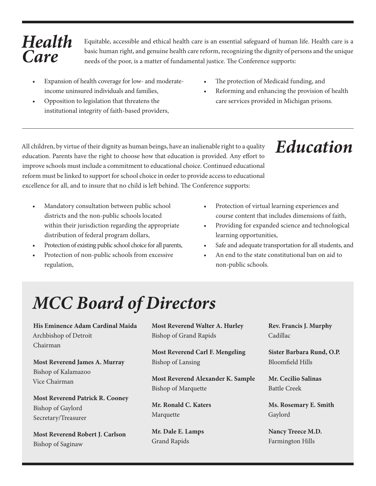## *Health Care*

Equitable, accessible and ethical health care is an essential safeguard of human life. Health care is a basic human right, and genuine health care reform, recognizing the dignity of persons and the unique needs of the poor, is a matter of fundamental justice. The Conference supports:

- Expansion of health coverage for low- and moderateincome uninsured individuals and families,
- Opposition to legislation that threatens the institutional integrity of faith-based providers,
- The protection of Medicaid funding, and
- Reforming and enhancing the provision of health care services provided in Michigan prisons.

*Education*

All children, by virtue of their dignity as human beings, have an inalienable right to a quality education. Parents have the right to choose how that education is provided. Any effort to improve schools must include a commitment to educational choice. Continued educational reform must be linked to support for school choice in order to provide access to educational excellence for all, and to insure that no child is left behind. The Conference supports:

- Mandatory consultation between public school districts and the non-public schools located within their jurisdiction regarding the appropriate distribution of federal program dollars,
- Protection of existing public school choice for all parents,
- Protection of non-public schools from excessive regulation,
- Protection of virtual learning experiences and course content that includes dimensions of faith,
- Providing for expanded science and technological learning opportunities,
- Safe and adequate transportation for all students, and
- An end to the state constitutional ban on aid to non-public schools.

# *MCC Board of Directors*

**His Eminence Adam Cardinal Maida** Archbishop of Detroit Chairman **Most Reverend James A. Murray** Bishop of Kalamazoo

**Most Reverend Patrick R. Cooney** Bishop of Gaylord Secretary/Treasurer

Vice Chairman

**Most Reverend Robert J. Carlson** Bishop of Saginaw

**Most Reverend Walter A. Hurley** Bishop of Grand Rapids

**Most Reverend Carl F. Mengeling** Bishop of Lansing

**Most Reverend Alexander K. Sample** Bishop of Marquette

**Mr. Ronald C. Katers** Marquette

**Mr. Dale E. Lamps** Grand Rapids

**Rev. Francis J. Murphy** Cadillac

**Sister Barbara Rund, O.P.** Bloomfield Hills

**Mr. Cecilio Salinas** Battle Creek

**Ms. Rosemary E. Smith** Gaylord

**Nancy Treece M.D.** Farmington Hills